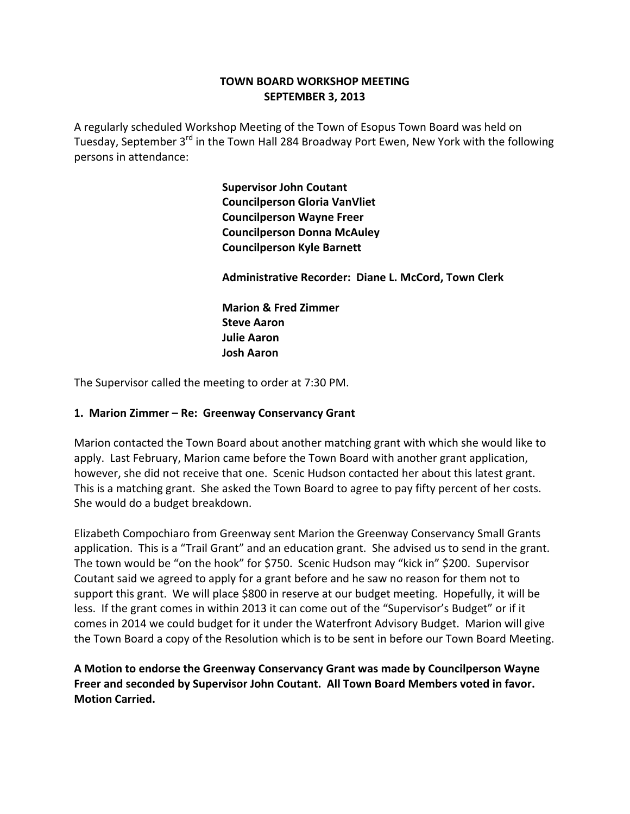# **TOWN BOARD WORKSHOP MEETING SEPTEMBER 3, 2013**

A regularly scheduled Workshop Meeting of the Town of Esopus Town Board was held on Tuesday, September 3<sup>rd</sup> in the Town Hall 284 Broadway Port Ewen, New York with the following persons in attendance:

> **Supervisor John Coutant Councilperson Gloria VanVliet Councilperson Wayne Freer Councilperson Donna McAuley Councilperson Kyle Barnett**

 **Administrative Recorder: Diane L. McCord, Town Clerk**

 **Marion & Fred Zimmer Steve Aaron Julie Aaron Josh Aaron**

The Supervisor called the meeting to order at 7:30 PM.

### **1. Marion Zimmer – Re: Greenway Conservancy Grant**

Marion contacted the Town Board about another matching grant with which she would like to apply. Last February, Marion came before the Town Board with another grant application, however, she did not receive that one. Scenic Hudson contacted her about this latest grant. This is a matching grant. She asked the Town Board to agree to pay fifty percent of her costs. She would do a budget breakdown.

Elizabeth Compochiaro from Greenway sent Marion the Greenway Conservancy Small Grants application. This is a "Trail Grant" and an education grant. She advised us to send in the grant. The town would be "on the hook" for \$750. Scenic Hudson may "kick in" \$200. Supervisor Coutant said we agreed to apply for a grant before and he saw no reason for them not to support this grant. We will place \$800 in reserve at our budget meeting. Hopefully, it will be less. If the grant comes in within 2013 it can come out of the "Supervisor's Budget" or if it comes in 2014 we could budget for it under the Waterfront Advisory Budget. Marion will give the Town Board a copy of the Resolution which is to be sent in before our Town Board Meeting.

**A Motion to endorse the Greenway Conservancy Grant was made by Councilperson Wayne Freer and seconded by Supervisor John Coutant. All Town Board Members voted in favor. Motion Carried.**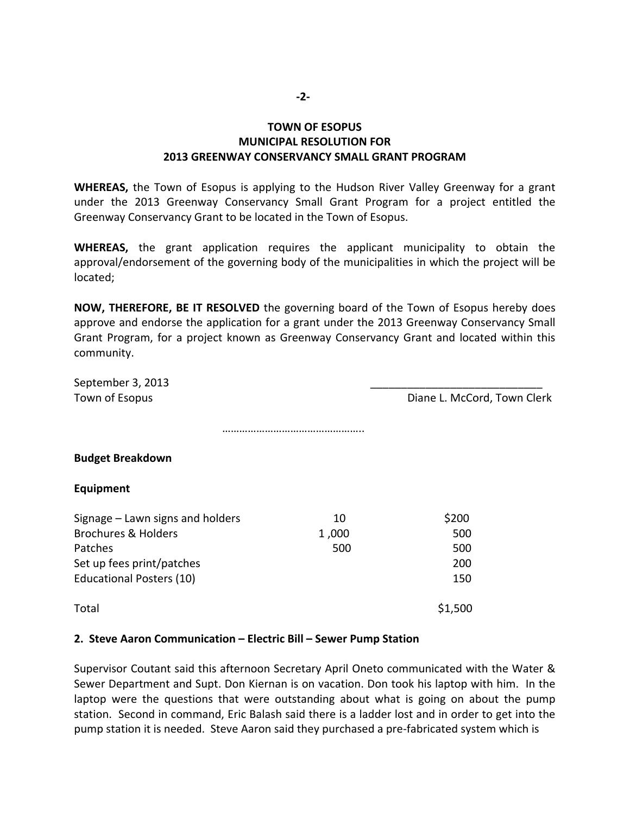#### **‐2‐**

# **TOWN OF ESOPUS MUNICIPAL RESOLUTION FOR 2013 GREENWAY CONSERVANCY SMALL GRANT PROGRAM**

**WHEREAS,** the Town of Esopus is applying to the Hudson River Valley Greenway for a grant under the 2013 Greenway Conservancy Small Grant Program for a project entitled the Greenway Conservancy Grant to be located in the Town of Esopus.

**WHEREAS,** the grant application requires the applicant municipality to obtain the approval/endorsement of the governing body of the municipalities in which the project will be located;

**NOW, THEREFORE, BE IT RESOLVED** the governing board of the Town of Esopus hereby does approve and endorse the application for a grant under the 2013 Greenway Conservancy Small Grant Program, for a project known as Greenway Conservancy Grant and located within this community.

| September 3, 2013                |       |                             |
|----------------------------------|-------|-----------------------------|
| Town of Esopus                   |       | Diane L. McCord, Town Clerk |
|                                  |       |                             |
| <b>Budget Breakdown</b>          |       |                             |
| Equipment                        |       |                             |
| Signage - Lawn signs and holders | 10    | \$200                       |
| <b>Brochures &amp; Holders</b>   | 1,000 | 500                         |
| Patches                          | 500   | 500                         |
| Set up fees print/patches        |       | 200                         |
| <b>Educational Posters (10)</b>  |       | 150                         |
| Total                            |       | \$1,500                     |

#### **2. Steve Aaron Communication – Electric Bill – Sewer Pump Station**

Supervisor Coutant said this afternoon Secretary April Oneto communicated with the Water & Sewer Department and Supt. Don Kiernan is on vacation. Don took his laptop with him. In the laptop were the questions that were outstanding about what is going on about the pump station. Second in command, Eric Balash said there is a ladder lost and in order to get into the pump station it is needed. Steve Aaron said they purchased a pre‐fabricated system which is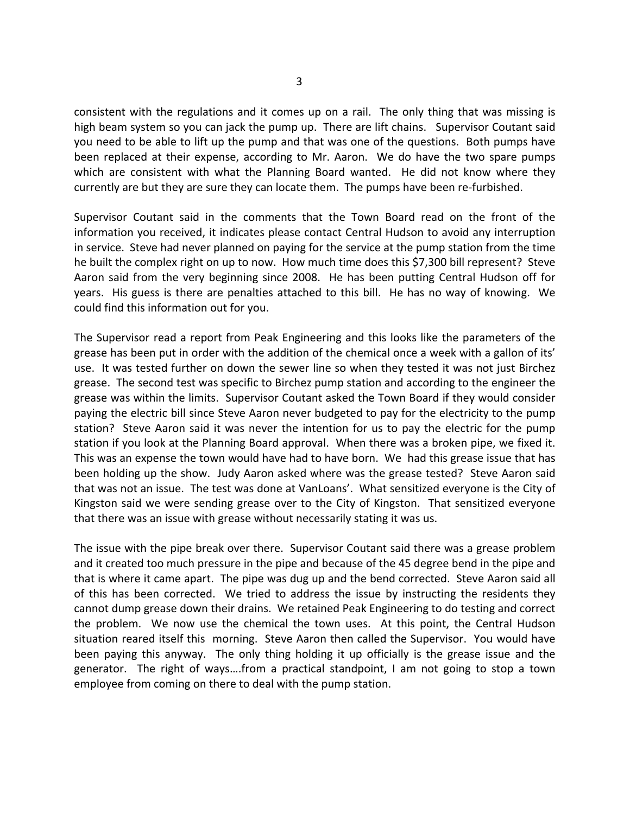consistent with the regulations and it comes up on a rail. The only thing that was missing is high beam system so you can jack the pump up. There are lift chains. Supervisor Coutant said you need to be able to lift up the pump and that was one of the questions. Both pumps have been replaced at their expense, according to Mr. Aaron. We do have the two spare pumps which are consistent with what the Planning Board wanted. He did not know where they currently are but they are sure they can locate them. The pumps have been re‐furbished.

Supervisor Coutant said in the comments that the Town Board read on the front of the information you received, it indicates please contact Central Hudson to avoid any interruption in service. Steve had never planned on paying for the service at the pump station from the time he built the complex right on up to now. How much time does this \$7,300 bill represent? Steve Aaron said from the very beginning since 2008. He has been putting Central Hudson off for years. His guess is there are penalties attached to this bill. He has no way of knowing. We could find this information out for you.

The Supervisor read a report from Peak Engineering and this looks like the parameters of the grease has been put in order with the addition of the chemical once a week with a gallon of its' use. It was tested further on down the sewer line so when they tested it was not just Birchez grease. The second test was specific to Birchez pump station and according to the engineer the grease was within the limits. Supervisor Coutant asked the Town Board if they would consider paying the electric bill since Steve Aaron never budgeted to pay for the electricity to the pump station? Steve Aaron said it was never the intention for us to pay the electric for the pump station if you look at the Planning Board approval. When there was a broken pipe, we fixed it. This was an expense the town would have had to have born. We had this grease issue that has been holding up the show. Judy Aaron asked where was the grease tested? Steve Aaron said that was not an issue. The test was done at VanLoans'. What sensitized everyone is the City of Kingston said we were sending grease over to the City of Kingston. That sensitized everyone that there was an issue with grease without necessarily stating it was us.

The issue with the pipe break over there. Supervisor Coutant said there was a grease problem and it created too much pressure in the pipe and because of the 45 degree bend in the pipe and that is where it came apart. The pipe was dug up and the bend corrected. Steve Aaron said all of this has been corrected. We tried to address the issue by instructing the residents they cannot dump grease down their drains. We retained Peak Engineering to do testing and correct the problem. We now use the chemical the town uses. At this point, the Central Hudson situation reared itself this morning. Steve Aaron then called the Supervisor. You would have been paying this anyway. The only thing holding it up officially is the grease issue and the generator. The right of ways….from a practical standpoint, I am not going to stop a town employee from coming on there to deal with the pump station.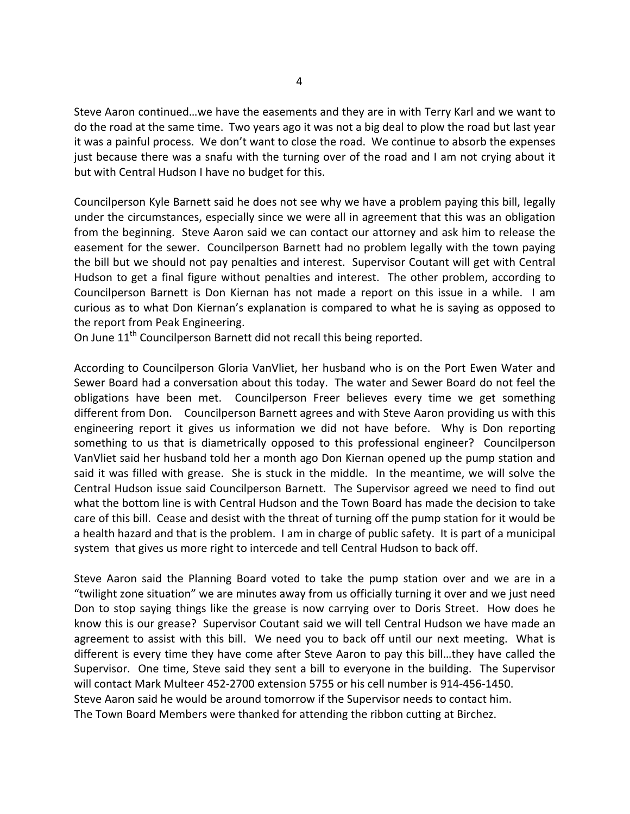Steve Aaron continued…we have the easements and they are in with Terry Karl and we want to do the road at the same time. Two years ago it was not a big deal to plow the road but last year it was a painful process. We don't want to close the road. We continue to absorb the expenses just because there was a snafu with the turning over of the road and I am not crying about it but with Central Hudson I have no budget for this.

Councilperson Kyle Barnett said he does not see why we have a problem paying this bill, legally under the circumstances, especially since we were all in agreement that this was an obligation from the beginning. Steve Aaron said we can contact our attorney and ask him to release the easement for the sewer. Councilperson Barnett had no problem legally with the town paying the bill but we should not pay penalties and interest. Supervisor Coutant will get with Central Hudson to get a final figure without penalties and interest. The other problem, according to Councilperson Barnett is Don Kiernan has not made a report on this issue in a while. I am curious as to what Don Kiernan's explanation is compared to what he is saying as opposed to the report from Peak Engineering.

On June 11<sup>th</sup> Councilperson Barnett did not recall this being reported.

According to Councilperson Gloria VanVliet, her husband who is on the Port Ewen Water and Sewer Board had a conversation about this today. The water and Sewer Board do not feel the obligations have been met. Councilperson Freer believes every time we get something different from Don. Councilperson Barnett agrees and with Steve Aaron providing us with this engineering report it gives us information we did not have before. Why is Don reporting something to us that is diametrically opposed to this professional engineer? Councilperson VanVliet said her husband told her a month ago Don Kiernan opened up the pump station and said it was filled with grease. She is stuck in the middle. In the meantime, we will solve the Central Hudson issue said Councilperson Barnett. The Supervisor agreed we need to find out what the bottom line is with Central Hudson and the Town Board has made the decision to take care of this bill. Cease and desist with the threat of turning off the pump station for it would be a health hazard and that is the problem. I am in charge of public safety. It is part of a municipal system that gives us more right to intercede and tell Central Hudson to back off.

Steve Aaron said the Planning Board voted to take the pump station over and we are in a "twilight zone situation" we are minutes away from us officially turning it over and we just need Don to stop saying things like the grease is now carrying over to Doris Street. How does he know this is our grease? Supervisor Coutant said we will tell Central Hudson we have made an agreement to assist with this bill. We need you to back off until our next meeting. What is different is every time they have come after Steve Aaron to pay this bill…they have called the Supervisor. One time, Steve said they sent a bill to everyone in the building. The Supervisor will contact Mark Multeer 452‐2700 extension 5755 or his cell number is 914‐456‐1450. Steve Aaron said he would be around tomorrow if the Supervisor needs to contact him. The Town Board Members were thanked for attending the ribbon cutting at Birchez.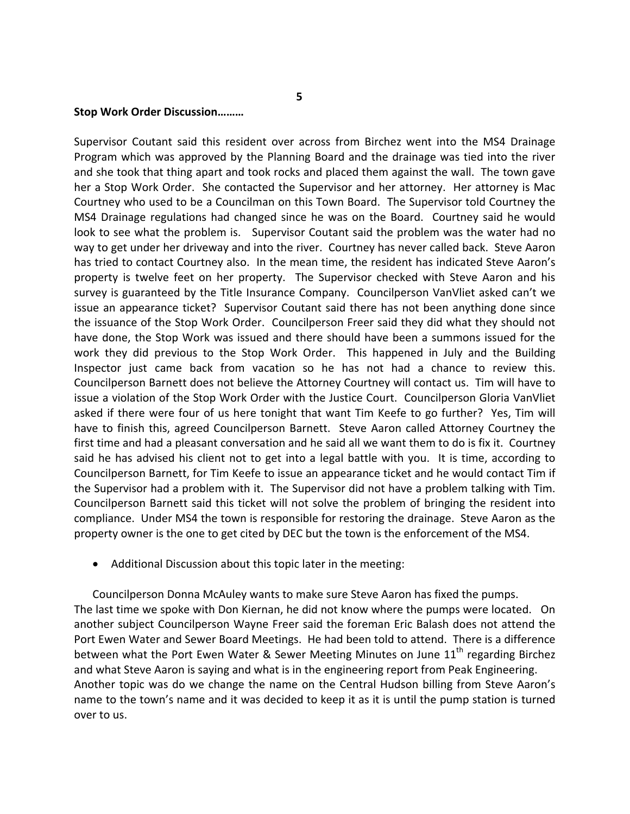#### **Stop Work Order Discussion………**

Supervisor Coutant said this resident over across from Birchez went into the MS4 Drainage Program which was approved by the Planning Board and the drainage was tied into the river and she took that thing apart and took rocks and placed them against the wall. The town gave her a Stop Work Order. She contacted the Supervisor and her attorney. Her attorney is Mac Courtney who used to be a Councilman on this Town Board. The Supervisor told Courtney the MS4 Drainage regulations had changed since he was on the Board. Courtney said he would look to see what the problem is. Supervisor Coutant said the problem was the water had no way to get under her driveway and into the river. Courtney has never called back. Steve Aaron has tried to contact Courtney also. In the mean time, the resident has indicated Steve Aaron's property is twelve feet on her property. The Supervisor checked with Steve Aaron and his survey is guaranteed by the Title Insurance Company. Councilperson VanVliet asked can't we issue an appearance ticket? Supervisor Coutant said there has not been anything done since the issuance of the Stop Work Order. Councilperson Freer said they did what they should not have done, the Stop Work was issued and there should have been a summons issued for the work they did previous to the Stop Work Order. This happened in July and the Building Inspector just came back from vacation so he has not had a chance to review this. Councilperson Barnett does not believe the Attorney Courtney will contact us. Tim will have to issue a violation of the Stop Work Order with the Justice Court. Councilperson Gloria VanVliet asked if there were four of us here tonight that want Tim Keefe to go further? Yes, Tim will have to finish this, agreed Councilperson Barnett. Steve Aaron called Attorney Courtney the first time and had a pleasant conversation and he said all we want them to do is fix it. Courtney said he has advised his client not to get into a legal battle with you. It is time, according to Councilperson Barnett, for Tim Keefe to issue an appearance ticket and he would contact Tim if the Supervisor had a problem with it. The Supervisor did not have a problem talking with Tim. Councilperson Barnett said this ticket will not solve the problem of bringing the resident into compliance. Under MS4 the town is responsible for restoring the drainage. Steve Aaron as the property owner is the one to get cited by DEC but the town is the enforcement of the MS4.

• Additional Discussion about this topic later in the meeting:

Councilperson Donna McAuley wants to make sure Steve Aaron has fixed the pumps. The last time we spoke with Don Kiernan, he did not know where the pumps were located. On another subject Councilperson Wayne Freer said the foreman Eric Balash does not attend the Port Ewen Water and Sewer Board Meetings. He had been told to attend. There is a difference between what the Port Ewen Water & Sewer Meeting Minutes on June  $11<sup>th</sup>$  regarding Birchez and what Steve Aaron is saying and what is in the engineering report from Peak Engineering. Another topic was do we change the name on the Central Hudson billing from Steve Aaron's name to the town's name and it was decided to keep it as it is until the pump station is turned over to us.

 **5**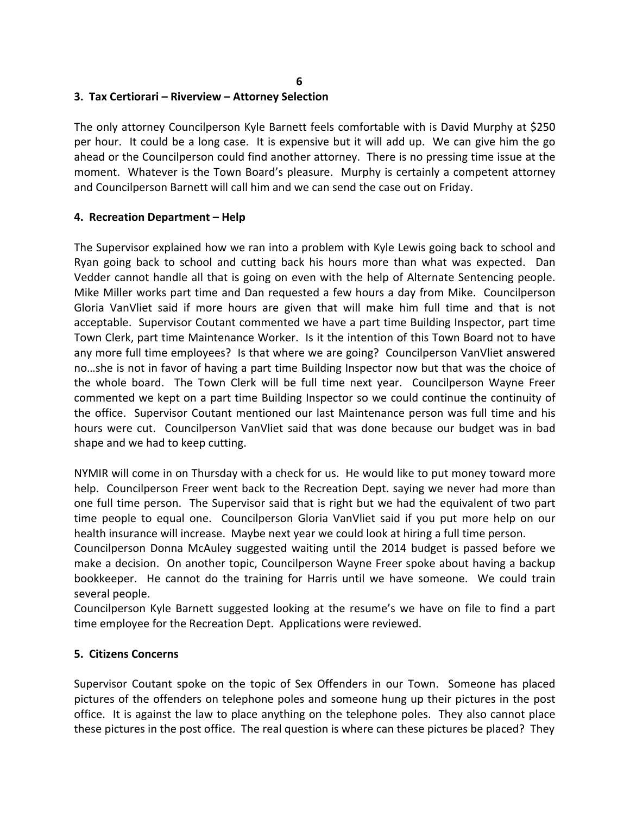# **3. Tax Certiorari – Riverview – Attorney Selection**

The only attorney Councilperson Kyle Barnett feels comfortable with is David Murphy at \$250 per hour. It could be a long case. It is expensive but it will add up. We can give him the go ahead or the Councilperson could find another attorney. There is no pressing time issue at the moment. Whatever is the Town Board's pleasure. Murphy is certainly a competent attorney and Councilperson Barnett will call him and we can send the case out on Friday.

#### **4. Recreation Department – Help**

The Supervisor explained how we ran into a problem with Kyle Lewis going back to school and Ryan going back to school and cutting back his hours more than what was expected. Dan Vedder cannot handle all that is going on even with the help of Alternate Sentencing people. Mike Miller works part time and Dan requested a few hours a day from Mike. Councilperson Gloria VanVliet said if more hours are given that will make him full time and that is not acceptable. Supervisor Coutant commented we have a part time Building Inspector, part time Town Clerk, part time Maintenance Worker. Is it the intention of this Town Board not to have any more full time employees? Is that where we are going? Councilperson VanVliet answered no…she is not in favor of having a part time Building Inspector now but that was the choice of the whole board. The Town Clerk will be full time next year. Councilperson Wayne Freer commented we kept on a part time Building Inspector so we could continue the continuity of the office. Supervisor Coutant mentioned our last Maintenance person was full time and his hours were cut. Councilperson VanVliet said that was done because our budget was in bad shape and we had to keep cutting.

NYMIR will come in on Thursday with a check for us. He would like to put money toward more help. Councilperson Freer went back to the Recreation Dept. saying we never had more than one full time person. The Supervisor said that is right but we had the equivalent of two part time people to equal one. Councilperson Gloria VanVliet said if you put more help on our health insurance will increase. Maybe next year we could look at hiring a full time person.

Councilperson Donna McAuley suggested waiting until the 2014 budget is passed before we make a decision. On another topic, Councilperson Wayne Freer spoke about having a backup bookkeeper. He cannot do the training for Harris until we have someone. We could train several people.

Councilperson Kyle Barnett suggested looking at the resume's we have on file to find a part time employee for the Recreation Dept. Applications were reviewed.

#### **5. Citizens Concerns**

Supervisor Coutant spoke on the topic of Sex Offenders in our Town. Someone has placed pictures of the offenders on telephone poles and someone hung up their pictures in the post office. It is against the law to place anything on the telephone poles. They also cannot place these pictures in the post office. The real question is where can these pictures be placed? They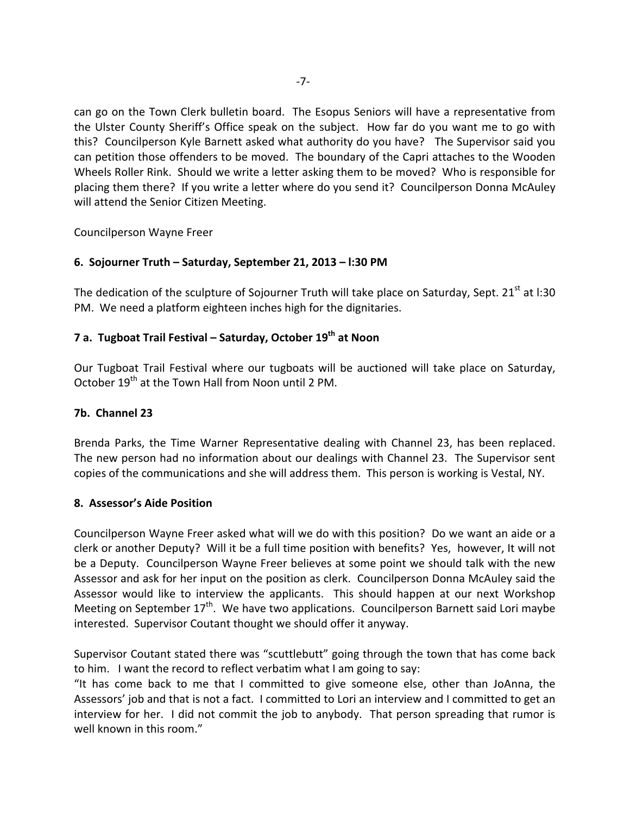can go on the Town Clerk bulletin board. The Esopus Seniors will have a representative from the Ulster County Sheriff's Office speak on the subject. How far do you want me to go with this? Councilperson Kyle Barnett asked what authority do you have? The Supervisor said you can petition those offenders to be moved. The boundary of the Capri attaches to the Wooden Wheels Roller Rink. Should we write a letter asking them to be moved? Who is responsible for placing them there? If you write a letter where do you send it? Councilperson Donna McAuley will attend the Senior Citizen Meeting.

Councilperson Wayne Freer

# **6. Sojourner Truth – Saturday, September 21, 2013 – l:30 PM**

The dedication of the sculpture of Sojourner Truth will take place on Saturday, Sept. 21<sup>st</sup> at l:30 PM. We need a platform eighteen inches high for the dignitaries.

# **7 a. Tugboat Trail Festival – Saturday, October 19th at Noon**

Our Tugboat Trail Festival where our tugboats will be auctioned will take place on Saturday, October 19<sup>th</sup> at the Town Hall from Noon until 2 PM.

### **7b. Channel 23**

Brenda Parks, the Time Warner Representative dealing with Channel 23, has been replaced. The new person had no information about our dealings with Channel 23. The Supervisor sent copies of the communications and she will address them. This person is working is Vestal, NY.

#### **8. Assessor's Aide Position**

Councilperson Wayne Freer asked what will we do with this position? Do we want an aide or a clerk or another Deputy? Will it be a full time position with benefits? Yes, however, It will not be a Deputy. Councilperson Wayne Freer believes at some point we should talk with the new Assessor and ask for her input on the position as clerk. Councilperson Donna McAuley said the Assessor would like to interview the applicants. This should happen at our next Workshop Meeting on September  $17<sup>th</sup>$ . We have two applications. Councilperson Barnett said Lori maybe interested. Supervisor Coutant thought we should offer it anyway.

Supervisor Coutant stated there was "scuttlebutt" going through the town that has come back to him. I want the record to reflect verbatim what I am going to say:

"It has come back to me that I committed to give someone else, other than JoAnna, the Assessors' job and that is not a fact. I committed to Lori an interview and I committed to get an interview for her. I did not commit the job to anybody. That person spreading that rumor is well known in this room."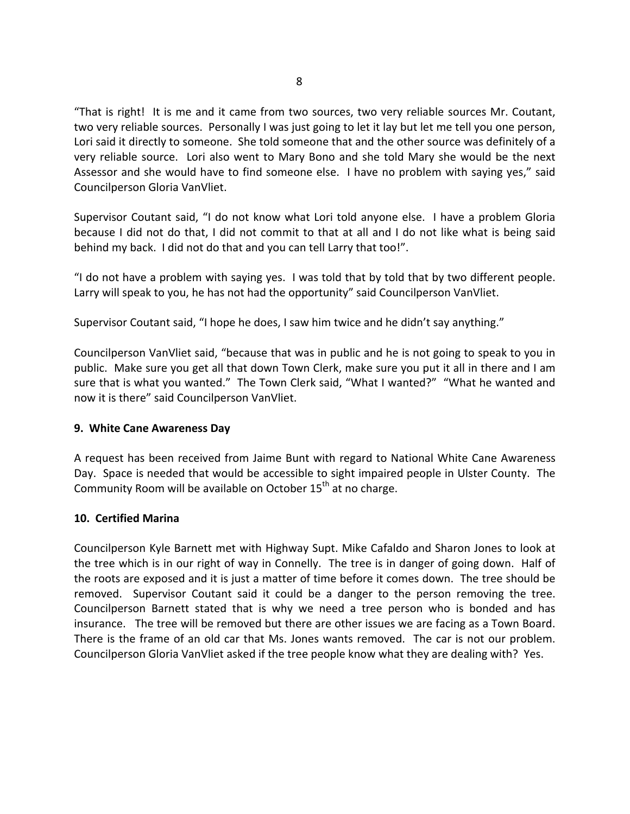"That is right! It is me and it came from two sources, two very reliable sources Mr. Coutant, two very reliable sources. Personally I was just going to let it lay but let me tell you one person, Lori said it directly to someone. She told someone that and the other source was definitely of a very reliable source. Lori also went to Mary Bono and she told Mary she would be the next Assessor and she would have to find someone else. I have no problem with saying yes," said Councilperson Gloria VanVliet.

Supervisor Coutant said, "I do not know what Lori told anyone else. I have a problem Gloria because I did not do that, I did not commit to that at all and I do not like what is being said behind my back. I did not do that and you can tell Larry that too!".

"I do not have a problem with saying yes. I was told that by told that by two different people. Larry will speak to you, he has not had the opportunity" said Councilperson VanVliet.

Supervisor Coutant said, "I hope he does, I saw him twice and he didn't say anything."

Councilperson VanVliet said, "because that was in public and he is not going to speak to you in public. Make sure you get all that down Town Clerk, make sure you put it all in there and I am sure that is what you wanted." The Town Clerk said, "What I wanted?" "What he wanted and now it is there" said Councilperson VanVliet.

#### **9. White Cane Awareness Day**

A request has been received from Jaime Bunt with regard to National White Cane Awareness Day. Space is needed that would be accessible to sight impaired people in Ulster County. The Community Room will be available on October  $15<sup>th</sup>$  at no charge.

#### **10. Certified Marina**

Councilperson Kyle Barnett met with Highway Supt. Mike Cafaldo and Sharon Jones to look at the tree which is in our right of way in Connelly. The tree is in danger of going down. Half of the roots are exposed and it is just a matter of time before it comes down. The tree should be removed. Supervisor Coutant said it could be a danger to the person removing the tree. Councilperson Barnett stated that is why we need a tree person who is bonded and has insurance. The tree will be removed but there are other issues we are facing as a Town Board. There is the frame of an old car that Ms. Jones wants removed. The car is not our problem. Councilperson Gloria VanVliet asked if the tree people know what they are dealing with? Yes.